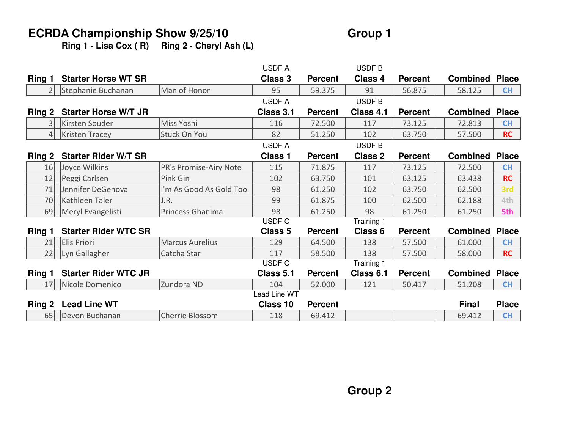## **ECRDA Championship Show 9/25/10 Group 1**

**Ring 1 - Lisa Cox ( R) Ring 2 - Cheryl Ash (L)**

|               |                             |                         | <b>USDFA</b>        |                | USDF <sub>B</sub> |                |                 |              |
|---------------|-----------------------------|-------------------------|---------------------|----------------|-------------------|----------------|-----------------|--------------|
| Ring 1        | <b>Starter Horse WT SR</b>  |                         | <b>Class 3</b>      | <b>Percent</b> | <b>Class 4</b>    | <b>Percent</b> | <b>Combined</b> | <b>Place</b> |
| 21            | Stephanie Buchanan          | Man of Honor            | 95                  | 59.375         | 91                | 56.875         | 58.125          | <b>CH</b>    |
|               |                             |                         | <b>USDFA</b>        |                | <b>USDFB</b>      |                |                 |              |
|               | Ring 2 Starter Horse W/T JR |                         | Class 3.1           | <b>Percent</b> | Class 4.1         | <b>Percent</b> | <b>Combined</b> | <b>Place</b> |
| 31            | Kirsten Souder              | Miss Yoshi              | 116                 | 72.500         | 117               | 73.125         | 72.813          | <b>CH</b>    |
| 41            | Kristen Tracey              | <b>Stuck On You</b>     | 82                  | 51.250         | 102               | 63.750         | 57.500          | <b>RC</b>    |
|               |                             |                         | <b>USDFA</b>        |                | <b>USDFB</b>      |                |                 |              |
| <b>Ring 2</b> | <b>Starter Rider W/T SR</b> |                         | <b>Class 1</b>      | <b>Percent</b> | <b>Class 2</b>    | <b>Percent</b> | <b>Combined</b> | <b>Place</b> |
| 16            | Joyce Wilkins               | PR's Promise-Airy Note  | 115                 | 71.875         | 117               | 73.125         | 72.500          | <b>CH</b>    |
| 12            | Peggi Carlsen               | Pink Gin                | 102                 | 63.750         | 101               | 63.125         | 63.438          | <b>RC</b>    |
| 71            | Jennifer DeGenova           | I'm As Good As Gold Too | 98                  | 61.250         | 102               | 63.750         | 62.500          | 3rd          |
| 70I           | Kathleen Taler              | J.R.                    | 99                  | 61.875         | 100               | 62.500         | 62.188          | 4th          |
| 69            | Meryl Evangelisti           | Princess Ghanima        | 98                  | 61.250         | 98                | 61.250         | 61.250          | 5th          |
|               |                             |                         | <b>USDF C</b>       |                | Training 1        |                |                 |              |
| Ring 1        | <b>Starter Rider WTC SR</b> |                         | Class 5             | <b>Percent</b> | Class 6           | <b>Percent</b> | <b>Combined</b> | <b>Place</b> |
| 21            | <b>Elis Priori</b>          | <b>Marcus Aurelius</b>  | 129                 | 64.500         | 138               | 57.500         | 61.000          | <b>CH</b>    |
| 22            | Lyn Gallagher               | Catcha Star             | 117                 | 58.500         | 138               | 57.500         | 58.000          | <b>RC</b>    |
|               |                             |                         | USDF C              |                | <b>Training 1</b> |                |                 |              |
| Ring 1        | <b>Starter Rider WTC JR</b> |                         | Class 5.1           | <b>Percent</b> | Class 6.1         | <b>Percent</b> | <b>Combined</b> | <b>Place</b> |
| 17            | Nicole Domenico             | Zundora ND              | 104                 | 52.000         | 121               | 50.417         | 51.208          | <b>CH</b>    |
|               |                             |                         | <b>Lead Line WT</b> |                |                   |                |                 |              |
|               | Ring 2 Lead Line WT         |                         | Class 10            | <b>Percent</b> |                   |                | <b>Final</b>    | <b>Place</b> |
| 65            | Devon Buchanan              | Cherrie Blossom         | 118                 | 69.412         |                   |                | 69.412          | <b>CH</b>    |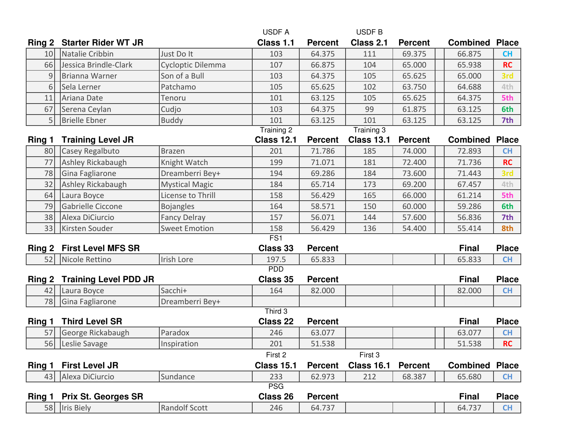|                 |                                  |                       | USDF A            |                | USDF B            |                |                       |              |
|-----------------|----------------------------------|-----------------------|-------------------|----------------|-------------------|----------------|-----------------------|--------------|
| Ring 2          | <b>Starter Rider WT JR</b>       |                       | Class 1.1         | <b>Percent</b> | Class 2.1         | <b>Percent</b> | <b>Combined Place</b> |              |
| 10              | Natalie Cribbin                  | Just Do It            | 103               | 64.375         | 111               | 69.375         | 66.875                | <b>CH</b>    |
| 66              | Jessica Brindle-Clark            | Cycloptic Dilemma     | 107               | 66.875         | 104               | 65.000         | 65.938                | <b>RC</b>    |
| $\overline{9}$  | Brianna Warner                   | Son of a Bull         | 103               | 64.375         | 105               | 65.625         | 65.000                | 3rd          |
| 6               | Sela Lerner                      | Patchamo              | 105               | 65.625         | 102               | 63.750         | 64.688                | 4th          |
| 11              | Ariana Date                      | Tenoru                | 101               | 63.125         | 105               | 65.625         | 64.375                | 5th          |
| 67              | Serena Ceylan                    | Cudjo                 | 103               | 64.375         | 99                | 61.875         | 63.125                | 6th          |
| 5 <sup>1</sup>  | <b>Brielle Ebner</b>             | <b>Buddy</b>          | 101               | 63.125         | 101               | 63.125         | 63.125                | 7th          |
|                 |                                  |                       | <b>Training 2</b> |                | Training 3        |                |                       |              |
| Ring 1          | <b>Training Level JR</b>         |                       | <b>Class 12.1</b> | <b>Percent</b> | <b>Class 13.1</b> | <b>Percent</b> | <b>Combined</b>       | <b>Place</b> |
| 80 <sup>1</sup> | Casey Regalbuto                  | <b>Brazen</b>         | 201               | 71.786         | 185               | 74.000         | 72.893                | <b>CH</b>    |
| 77              | Ashley Rickabaugh                | Knight Watch          | 199               | 71.071         | 181               | 72.400         | 71.736                | <b>RC</b>    |
| 78              | Gina Fagliarone                  | Dreamberri Bey+       | 194               | 69.286         | 184               | 73.600         | 71.443                | 3rd          |
| 32              | Ashley Rickabaugh                | <b>Mystical Magic</b> | 184               | 65.714         | 173               | 69.200         | 67.457                | 4th          |
| 64              | Laura Boyce                      | License to Thrill     | 158               | 56.429         | 165               | 66.000         | 61.214                | 5th          |
| 79              | Gabrielle Ciccone                | <b>Bojangles</b>      | 164               | 58.571         | 150               | 60.000         | 59.286                | 6th          |
| 38              | Alexa DiCiurcio                  | <b>Fancy Delray</b>   | 157               | 56.071         | 144               | 57.600         | 56.836                | 7th          |
| 33              | Kirsten Souder                   | <b>Sweet Emotion</b>  | 158               | 56.429         | 136               | 54.400         | 55.414                | 8th          |
|                 |                                  |                       | FS1               |                |                   |                |                       |              |
|                 | <b>Ring 2 First Level MFS SR</b> |                       | <b>Class 33</b>   | <b>Percent</b> |                   |                | <b>Final</b>          | <b>Place</b> |
| 52              | Nicole Rettino                   | Irish Lore            | 197.5             | 65.833         |                   |                | 65.833                | <b>CH</b>    |
|                 |                                  |                       | <b>PDD</b>        |                |                   |                |                       |              |
| Ring 2          | <b>Training Level PDD JR</b>     |                       | <b>Class 35</b>   | <b>Percent</b> |                   |                | <b>Final</b>          | <b>Place</b> |
| 42              | Laura Boyce                      | Sacchi+               | 164               | 82.000         |                   |                | 82.000                | CH           |
| 78              | Gina Fagliarone                  | Dreamberri Bey+       |                   |                |                   |                |                       |              |
|                 |                                  |                       | Third 3           |                |                   |                |                       |              |
| Ring 1          | <b>Third Level SR</b>            |                       | <b>Class 22</b>   | <b>Percent</b> |                   |                | <b>Final</b>          | <b>Place</b> |
| 57              | George Rickabaugh                | Paradox               | 246               | 63.077         |                   |                | 63.077                | <b>CH</b>    |
| 56              | Leslie Savage                    | Inspiration           | 201               | 51.538         |                   |                | 51.538                | <b>RC</b>    |
|                 |                                  |                       | First 2           |                | First 3           |                |                       |              |
| Ring 1          | <b>First Level JR</b>            |                       | <b>Class 15.1</b> | <b>Percent</b> | <b>Class 16.1</b> | <b>Percent</b> | <b>Combined Place</b> |              |
| 43              | Alexa DiCiurcio                  | Sundance              | 233<br><b>PSG</b> | 62.973         | 212               | 68.387         | 65.680                | <b>CH</b>    |
| Ring 1          | <b>Prix St. Georges SR</b>       |                       | <b>Class 26</b>   | <b>Percent</b> |                   |                | <b>Final</b>          | <b>Place</b> |
|                 |                                  | <b>Randolf Scott</b>  |                   |                |                   |                |                       |              |
| 58              | Iris Biely                       |                       | 246               | 64.737         |                   |                | 64.737                | CH           |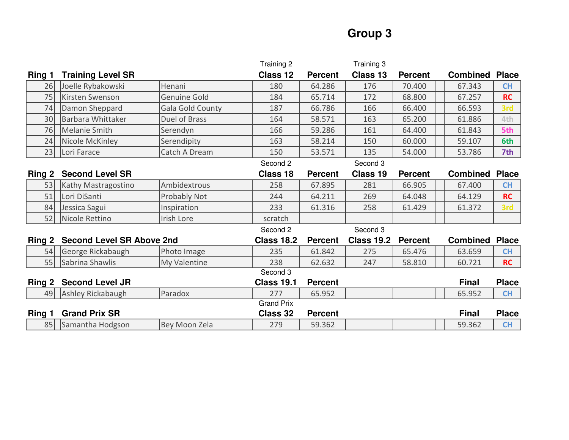## **Group 3**

|               |                                  |                     | Training 2        |                | Training 3        |                |                 |              |
|---------------|----------------------------------|---------------------|-------------------|----------------|-------------------|----------------|-----------------|--------------|
| Ring 1        | <b>Training Level SR</b>         |                     | Class 12          | <b>Percent</b> | Class 13          | <b>Percent</b> | <b>Combined</b> | <b>Place</b> |
| 26            | Joelle Rybakowski                | Henani              | 180               | 64.286         | 176               | 70.400         | 67.343          | <b>CH</b>    |
| 75            | Kirsten Swenson                  | <b>Genuine Gold</b> | 184               | 65.714         | 172               | 68.800         | 67.257          | <b>RC</b>    |
| 74            | Damon Sheppard                   | Gala Gold County    | 187               | 66.786         | 166               | 66.400         | 66.593          | 3rd          |
| 30            | Barbara Whittaker                | Duel of Brass       | 164               | 58.571         | 163               | 65.200         | 61.886          | 4th          |
| 76            | Melanie Smith                    | Serendyn            | 166               | 59.286         | 161               | 64.400         | 61.843          | 5th          |
| 24            | Nicole McKinley                  | Serendipity         | 163               | 58.214         | 150               | 60.000         | 59.107          | 6th          |
| 23            | Lori Farace                      | Catch A Dream       | 150               | 53.571         | 135               | 54.000         | 53.786          | 7th          |
|               |                                  |                     | Second 2          |                | Second 3          |                |                 |              |
| Ring 2        | <b>Second Level SR</b>           |                     | Class 18          | <b>Percent</b> | Class 19          | <b>Percent</b> | <b>Combined</b> | <b>Place</b> |
| 53            | Kathy Mastragostino              | Ambidextrous        | 258               | 67.895         | 281               | 66.905         | 67.400          | CH           |
| 51            | Lori DiSanti                     | Probably Not        | 244               | 64.211         | 269               | 64.048         | 64.129          | <b>RC</b>    |
| 84            | Jessica Sagui                    | Inspiration         | 233               | 61.316         | 258               | 61.429         | 61.372          | 3rd          |
| 52            | Nicole Rettino                   | Irish Lore          | scratch           |                |                   |                |                 |              |
|               |                                  |                     | Second 2          |                | Second 3          |                |                 |              |
| <b>Ring 2</b> | <b>Second Level SR Above 2nd</b> |                     | <b>Class 18.2</b> | <b>Percent</b> | <b>Class 19.2</b> | <b>Percent</b> | <b>Combined</b> | <b>Place</b> |
| 54            | George Rickabaugh                | Photo Image         | 235               | 61.842         | 275               | 65.476         | 63.659          | CH           |
| 55            | Sabrina Shawlis                  | My Valentine        | 238               | 62.632         | 247               | 58.810         | 60.721          | <b>RC</b>    |
|               |                                  |                     | Second 3          |                |                   |                |                 |              |
| <b>Ring 2</b> | <b>Second Level JR</b>           |                     | <b>Class 19.1</b> | <b>Percent</b> |                   |                | <b>Final</b>    | <b>Place</b> |
| 49            | Ashley Rickabaugh                | Paradox             | 277               | 65.952         |                   |                | 65.952          | CH           |
|               |                                  |                     | <b>Grand Prix</b> |                |                   |                |                 |              |
| Ring 1        | <b>Grand Prix SR</b>             |                     | <b>Class 32</b>   | <b>Percent</b> |                   |                | <b>Final</b>    | <b>Place</b> |
| 85            | Samantha Hodgson                 | Bey Moon Zela       | 279               | 59.362         |                   |                | 59.362          | <b>CH</b>    |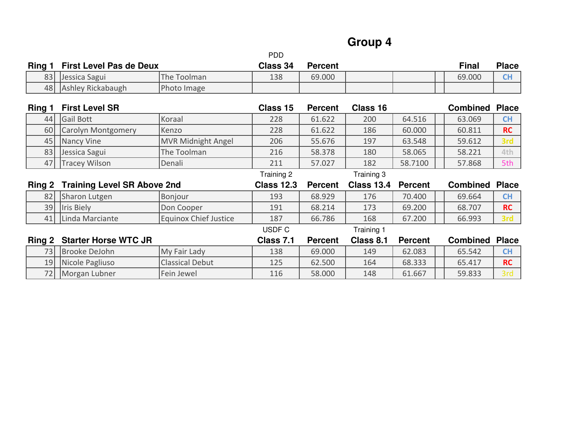## **Group 4**

| <b>First Level Pas de Deux</b> |                              |                                                    |                |                   |                |                 |              |
|--------------------------------|------------------------------|----------------------------------------------------|----------------|-------------------|----------------|-----------------|--------------|
|                                |                              | Class 34                                           | <b>Percent</b> |                   |                | <b>Final</b>    | <b>Place</b> |
| Jessica Sagui                  | The Toolman                  | 138                                                | 69.000         |                   |                | 69.000          | <b>CH</b>    |
| Ashley Rickabaugh              | Photo Image                  |                                                    |                |                   |                |                 |              |
| <b>First Level SR</b>          |                              | Class 15                                           | <b>Percent</b> | Class 16          |                | <b>Combined</b> | <b>Place</b> |
| Gail Bott                      | Koraal                       | 228                                                | 61.622         | 200               | 64.516         | 63.069          | <b>CH</b>    |
| Carolyn Montgomery             | Kenzo                        | 228                                                | 61.622         | 186               | 60.000         | 60.811          | <b>RC</b>    |
| Nancy Vine                     | <b>MVR Midnight Angel</b>    | 206                                                | 55.676         | 197               | 63.548         | 59.612          | 3rd          |
| Jessica Sagui                  | The Toolman                  | 216                                                | 58.378         | 180               | 58.065         | 58.221          | 4th          |
| <b>Tracey Wilson</b>           | Denali                       | 211                                                | 57.027         | 182               | 58.7100        | 57.868          | 5th          |
|                                |                              | Training 2                                         |                | Training 3        |                |                 |              |
|                                |                              | <b>Class 12.3</b>                                  | <b>Percent</b> | <b>Class 13.4</b> | <b>Percent</b> | <b>Combined</b> | <b>Place</b> |
| Sharon Lutgen                  | Bonjour                      | 193                                                | 68.929         | 176               | 70.400         | 69.664          | <b>CH</b>    |
| Iris Biely                     | Don Cooper                   | 191                                                | 68.214         | 173               | 69.200         | 68.707          | <b>RC</b>    |
| Linda Marciante                | <b>Equinox Chief Justice</b> | 187                                                | 66.786         | 168               | 67.200         | 66.993          | 3rd          |
|                                |                              | USDF C                                             |                | Training 1        |                |                 |              |
| <b>Starter Horse WTC JR</b>    |                              | Class 7.1                                          | <b>Percent</b> | Class 8.1         | <b>Percent</b> | <b>Combined</b> | <b>Place</b> |
| Brooke DeJohn                  |                              | 138                                                | 69.000         | 149               | 62.083         | 65.542          | <b>CH</b>    |
| Nicole Pagliuso                | <b>Classical Debut</b>       | 125                                                | 62.500         | 164               | 68.333         | 65.417          | <b>RC</b>    |
| Morgan Lubner                  | Fein Jewel                   | 116                                                | 58.000         | 148               | 61.667         | 59.833          | 3rd          |
|                                |                              | <b>Training Level SR Above 2nd</b><br>My Fair Lady |                |                   |                |                 |              |